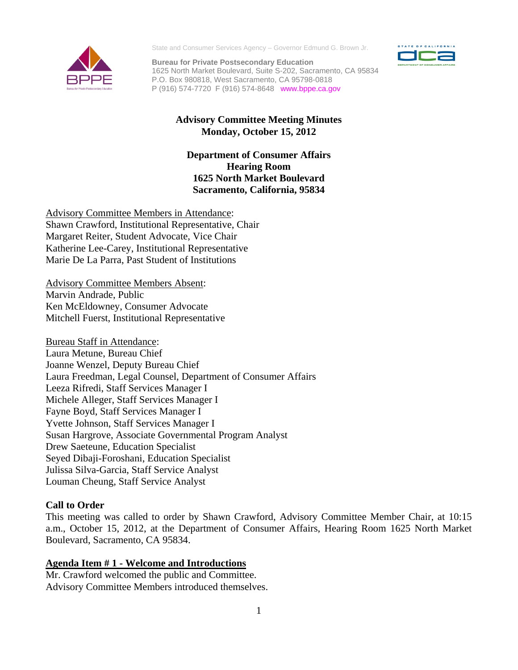

State and Consumer Services Agency – Governor Edmund G. Brown Jr.

**Bureau for Private Postsecondary Education**  1625 North Market Boulevard, Suite S-202, Sacramento, CA 95834 P.O. Box 980818, West Sacramento, CA 95798-0818 P (916) 574-7720 F (916) 574-8648 www.bppe.ca.gov



# **Advisory Committee Meeting Minutes Monday, October 15, 2012**

# **Department of Consumer Affairs Hearing Room 1625 North Market Boulevard Sacramento, California, 95834**

 Katherine Lee-Carey, Institutional Representative Marie De La Parra, Past Student of Institutions Advisory Committee Members in Attendance: Shawn Crawford, Institutional Representative, Chair Margaret Reiter, Student Advocate, Vice Chair

Advisory Committee Members Absent: Marvin Andrade, Public Ken McEldowney, Consumer Advocate Mitchell Fuerst, Institutional Representative

Bureau Staff in Attendance: Laura Metune, Bureau Chief Joanne Wenzel, Deputy Bureau Chief Laura Freedman, Legal Counsel, Department of Consumer Affairs Leeza Rifredi, Staff Services Manager I Michele Alleger, Staff Services Manager I Fayne Boyd, Staff Services Manager I Yvette Johnson, Staff Services Manager I Susan Hargrove, Associate Governmental Program Analyst Drew Saeteune, Education Specialist Seyed Dibaji-Foroshani, Education Specialist Julissa Silva-Garcia, Staff Service Analyst Louman Cheung, Staff Service Analyst

# **Call to Order**

This meeting was called to order by Shawn Crawford, Advisory Committee Member Chair, at 10:15 a.m., October 15, 2012, at the Department of Consumer Affairs, Hearing Room 1625 North Market Boulevard, Sacramento, CA 95834.

### **Agenda Item # 1 - Welcome and Introductions**

Mr. Crawford welcomed the public and Committee. Advisory Committee Members introduced themselves.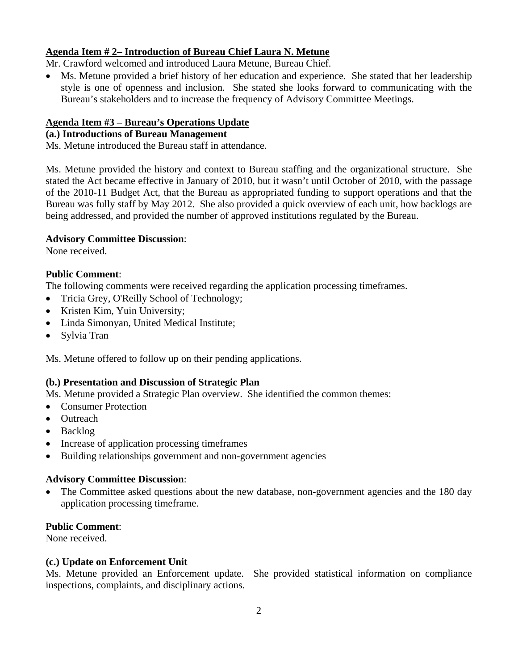## **Agenda Item # 2– Introduction of Bureau Chief Laura N. Metune**

Mr. Crawford welcomed and introduced Laura Metune, Bureau Chief.

 Ms. Metune provided a brief history of her education and experience. She stated that her leadership style is one of openness and inclusion. She stated she looks forward to communicating with the Bureau's stakeholders and to increase the frequency of Advisory Committee Meetings.

## **Agenda Item #3 – Bureau's Operations Update**

## **(a.) Introductions of Bureau Management**

Ms. Metune introduced the Bureau staff in attendance.

Ms. Metune provided the history and context to Bureau staffing and the organizational structure. She stated the Act became effective in January of 2010, but it wasn't until October of 2010, with the passage of the 2010-11 Budget Act, that the Bureau as appropriated funding to support operations and that the Bureau was fully staff by May 2012. She also provided a quick overview of each unit, how backlogs are being addressed, and provided the number of approved institutions regulated by the Bureau.

### **Advisory Committee Discussion**:

None received.

### **Public Comment**:

The following comments were received regarding the application processing timeframes.

- Tricia Grey, O'Reilly School of Technology;
- Kristen Kim, Yuin University;
- Linda Simonyan, United Medical Institute;
- Sylvia Tran

Ms. Metune offered to follow up on their pending applications.

### **(b.) Presentation and Discussion of Strategic Plan**

Ms. Metune provided a Strategic Plan overview. She identified the common themes:

- Consumer Protection
- Outreach
- Backlog
- Increase of application processing timeframes
- Building relationships government and non-government agencies

### **Advisory Committee Discussion**:

 The Committee asked questions about the new database, non-government agencies and the 180 day application processing timeframe.

## **Public Comment**:

None received.

#### **(c.) Update on Enforcement Unit**

Ms. Metune provided an Enforcement update. She provided statistical information on compliance inspections, complaints, and disciplinary actions.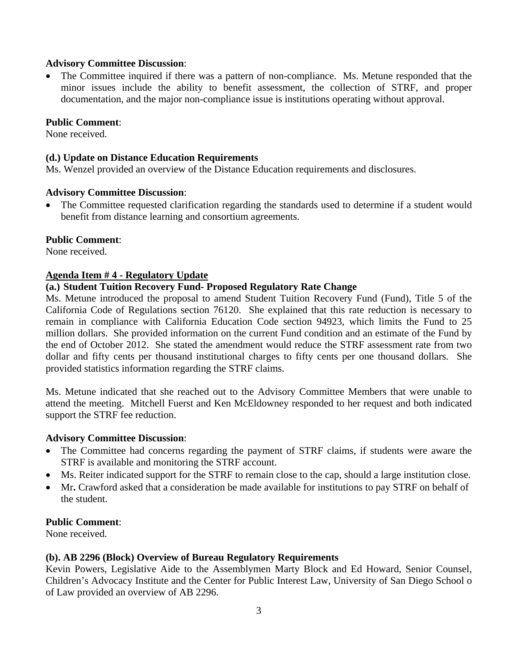### **Advisory Committee Discussion**:

• The Committee inquired if there was a pattern of non-compliance. Ms. Metune responded that the minor issues include the ability to benefit assessment, the collection of STRF, and proper documentation, and the major non-compliance issue is institutions operating without approval.

#### **Public Comment**:

None received.

#### **(d.) Update on Distance Education Requirements**

Ms. Wenzel provided an overview of the Distance Education requirements and disclosures.

#### **Advisory Committee Discussion**:

 The Committee requested clarification regarding the standards used to determine if a student would benefit from distance learning and consortium agreements.

### **Public Comment**:

None received.

#### **Agenda Item # 4 - Regulatory Update**

#### **(a.) Student Tuition Recovery Fund- Proposed Regulatory Rate Change**

Ms. Metune introduced the proposal to amend Student Tuition Recovery Fund (Fund), Title 5 of the California Code of Regulations section 76120. She explained that this rate reduction is necessary to remain in compliance with California Education Code section 94923, which limits the Fund to 25 million dollars. She provided information on the current Fund condition and an estimate of the Fund by the end of October 2012. She stated the amendment would reduce the STRF assessment rate from two dollar and fifty cents per thousand institutional charges to fifty cents per one thousand dollars. She provided statistics information regarding the STRF claims.

Ms. Metune indicated that she reached out to the Advisory Committee Members that were unable to attend the meeting. Mitchell Fuerst and Ken McEldowney responded to her request and both indicated support the STRF fee reduction.

#### **Advisory Committee Discussion**:

- The Committee had concerns regarding the payment of STRF claims, if students were aware the STRF is available and monitoring the STRF account.
- Ms. Reiter indicated support for the STRF to remain close to the cap, should a large institution close.
- Mr**.** Crawford asked that a consideration be made available for institutions to pay STRF on behalf of the student.

#### **Public Comment**:

None received.

### **(b). AB 2296 (Block) Overview of Bureau Regulatory Requirements**

Kevin Powers, Legislative Aide to the Assemblymen Marty Block and Ed Howard, Senior Counsel, Children's Advocacy Institute and the Center for Public Interest Law, University of San Diego School o of Law provided an overview of AB 2296.